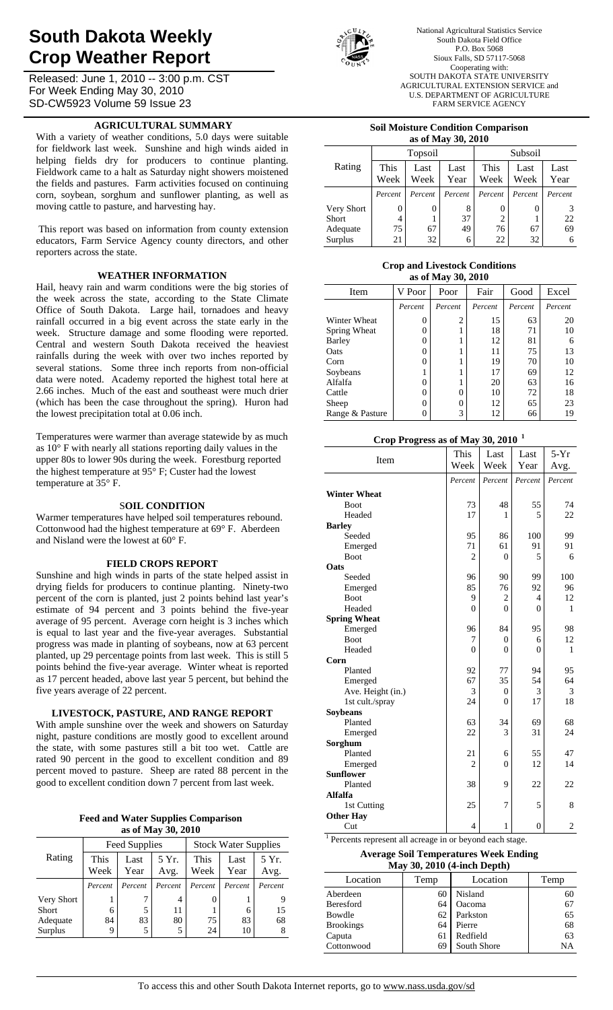# **South Dakota Weekly Crop Weather Report**

Released: June 1, 2010 -- 3:00 p.m. CST For Week Ending May 30, 2010 SD-CW5923 Volume 59 Issue 23

## **AGRICULTURAL SUMMARY**

With a variety of weather conditions, 5.0 days were suitable for fieldwork last week. Sunshine and high winds aided in helping fields dry for producers to continue planting. Fieldwork came to a halt as Saturday night showers moistened the fields and pastures. Farm activities focused on continuing corn, soybean, sorghum and sunflower planting, as well as moving cattle to pasture, and harvesting hay.

 This report was based on information from county extension educators, Farm Service Agency county directors, and other reporters across the state.

## **WEATHER INFORMATION**

Hail, heavy rain and warm conditions were the big stories of the week across the state, according to the State Climate Office of South Dakota. Large hail, tornadoes and heavy rainfall occurred in a big event across the state early in the week. Structure damage and some flooding were reported. Central and western South Dakota received the heaviest rainfalls during the week with over two inches reported by several stations. Some three inch reports from non-official data were noted. Academy reported the highest total here at 2.66 inches. Much of the east and southeast were much drier (which has been the case throughout the spring). Huron had the lowest precipitation total at 0.06 inch.

Temperatures were warmer than average statewide by as much as 10° F with nearly all stations reporting daily values in the upper 80s to lower 90s during the week. Forestburg reported the highest temperature at 95° F; Custer had the lowest temperature at 35° F.

## S**OIL CONDITION**

Warmer temperatures have helped soil temperatures rebound. Cottonwood had the highest temperature at 69° F. Aberdeen and Nisland were the lowest at 60° F.

## **FIELD CROPS REPORT**

Sunshine and high winds in parts of the state helped assist in drying fields for producers to continue planting. Ninety-two percent of the corn is planted, just 2 points behind last year's estimate of 94 percent and 3 points behind the five-year average of 95 percent. Average corn height is 3 inches which is equal to last year and the five-year averages. Substantial progress was made in planting of soybeans, now at 63 percent planted, up 29 percentage points from last week. This is still 5 points behind the five-year average. Winter wheat is reported as 17 percent headed, above last year 5 percent, but behind the five years average of 22 percent.

## **LIVESTOCK, PASTURE, AND RANGE REPORT**

With ample sunshine over the week and showers on Saturday night, pasture conditions are mostly good to excellent around the state, with some pastures still a bit too wet. Cattle are rated 90 percent in the good to excellent condition and 89 percent moved to pasture. Sheep are rated 88 percent in the good to excellent condition down 7 percent from last week.

| <b>Feed and Water Supplies Comparison</b> |
|-------------------------------------------|
| as of May 30, 2010                        |

|              |                                               | Feed Supplies |              | <b>Stock Water Supplies</b> |               |         |  |
|--------------|-----------------------------------------------|---------------|--------------|-----------------------------|---------------|---------|--|
| Rating       | This<br>5 Yr.<br>Last<br>Week<br>Year<br>Avg. |               | This<br>Week | Last<br>Year                | 5 Yr.<br>Avg. |         |  |
|              | Percent                                       | Percent       | Percent      | Percent                     | Percent       | Percent |  |
| Very Short   |                                               |               | 4            | $\theta$                    |               |         |  |
| <b>Short</b> | 6                                             | 5             | 11           |                             | 6             | 15      |  |
| Adequate     | 84                                            | 83            | 80           | 75                          | 83            | 68      |  |
| Surplus      | 9                                             | 5             | 5            | 24                          | 10            |         |  |



National Agricultural Statistics Service South Dakota Field Office P.O. Box 5068 Sioux Falls, SD 57117-5068 Cooperating with: SOUTH DAKOTA STATE UNIVERSITY AGRICULTURAL EXTENSION SERVICE and U.S. DEPARTMENT OF AGRICULTURE FARM SERVICE AGENCY

#### **Soil Moisture Condition Comparison as of May 30, 2010**

| $\frac{1}{2}$ |              |              |              |                |              |              |  |  |  |
|---------------|--------------|--------------|--------------|----------------|--------------|--------------|--|--|--|
|               |              | Topsoil      |              | Subsoil        |              |              |  |  |  |
| Rating        | This<br>Week | Last<br>Week | Last<br>Year | This<br>Week   | Last<br>Week | Last<br>Year |  |  |  |
|               | Percent      | Percent      | Percent      | Percent        | Percent      | Percent      |  |  |  |
| Very Short    | 0            | 0            | 8            |                |              |              |  |  |  |
| Short         | 4            |              | 37           | $\overline{c}$ |              | 22           |  |  |  |
| Adequate      | 75           | 67           | 49           | 76             | 67           | 69           |  |  |  |
| Surplus       | 21           | 32           | 6            | 22             | 32           | 6            |  |  |  |

#### **Crop and Livestock Conditions as of May 30, 2010**

| as 01 iylay <i>J</i> 0, 4010 |                |                |         |         |         |  |  |  |  |  |
|------------------------------|----------------|----------------|---------|---------|---------|--|--|--|--|--|
| Item                         | V Poor<br>Poor |                | Fair    | Good    | Excel   |  |  |  |  |  |
|                              | Percent        | Percent        | Percent | Percent | Percent |  |  |  |  |  |
| Winter Wheat                 | $\theta$       | $\overline{c}$ | 15      | 63      | 20      |  |  |  |  |  |
| Spring Wheat                 | 0              |                | 18      | 71      | 10      |  |  |  |  |  |
| Barley                       | 0              |                | 12      | 81      | 6       |  |  |  |  |  |
| Oats                         | 0              |                | 11      | 75      | 13      |  |  |  |  |  |
| Corn                         | 0              |                | 19      | 70      | 10      |  |  |  |  |  |
| Soybeans                     |                |                | 17      | 69      | 12      |  |  |  |  |  |
| Alfalfa                      | 0              |                | 20      | 63      | 16      |  |  |  |  |  |
| Cattle                       | 0              | 0              | 10      | 72      | 18      |  |  |  |  |  |
| Sheep                        | 0              | 0              | 12      | 65      | 23      |  |  |  |  |  |
| Range & Pasture              | 0              | 3              | 12      | 66      | 19      |  |  |  |  |  |

# **Crop Progress as of May 30, 2010 <sup>1</sup>**

| Item                | This<br>Week   | Last<br>Week   | Last<br>Year   | $5-Yr$<br>Avg. |
|---------------------|----------------|----------------|----------------|----------------|
|                     | Percent        | Percent        | Percent        | Percent        |
| <b>Winter Wheat</b> |                |                |                |                |
| <b>Boot</b>         | 73             | 48             | 55             | 74             |
| Headed              | 17             | 1              | 5              | 22             |
| <b>Barley</b>       |                |                |                |                |
| Seeded              | 95             | 86             | 100            | 99             |
| Emerged             | 71             | 61             | 91             | 91             |
| <b>Boot</b>         | $\overline{c}$ | $\theta$       | 5              | 6              |
| Oats                |                |                |                |                |
| Seeded              | 96             | 90             | 99             | 100            |
| Emerged             | 85             | 76             | 92             | 96             |
| <b>Boot</b>         | 9              | $\overline{2}$ | $\overline{4}$ | 12             |
| Headed              | $\overline{0}$ | $\theta$       | $\theta$       | 1              |
| <b>Spring Wheat</b> |                |                |                |                |
| Emerged             | 96             | 84             | 95             | 98             |
| <b>Boot</b>         | 7              | $\overline{0}$ | 6              | 12             |
| Headed              | $\overline{0}$ | $\overline{0}$ | $\theta$       | 1              |
| Corn                |                |                |                |                |
| Planted             | 92             | 77             | 94             | 95             |
| Emerged             | 67             | 35             | 54             | 64             |
| Ave. Height (in.)   | 3              | $\theta$       | 3              | 3              |
| 1st cult./spray     | 24             | $\theta$       | 17             | 18             |
| Soybeans            |                |                |                |                |
| Planted             | 63             | 34             | 69             | 68             |
| Emerged             | 22             | 3              | 31             | 24             |
| Sorghum             |                |                |                |                |
| Planted             | 21             | 6              | 55             | 47             |
| Emerged             | $\overline{2}$ | $\overline{0}$ | 12             | 14             |
| <b>Sunflower</b>    |                |                |                |                |
| Planted             | 38             | 9              | 22             | 22             |
| <b>Alfalfa</b>      |                |                |                |                |
| 1st Cutting         | 25             | 7              | 5              | 8              |
| <b>Other Hay</b>    |                |                |                |                |
| Cut                 | $\overline{4}$ | $\mathbf{1}$   | $\overline{0}$ | $\sqrt{2}$     |

<sup>1</sup> Percents represent all acreage in or beyond each stage.

# **Average Soil Temperatures Week Ending May 30, 2010 (4-inch Depth)**

| Temp | Location    | Temp            |
|------|-------------|-----------------|
| 60   | Nisland     | 60              |
| 64   | Oacoma      | 67              |
|      | Parkston    | 65              |
| 64   | Pierre      | 68              |
| 61   | Redfield    | 63              |
| 69   | South Shore | NΑ              |
|      |             | 62 <sub>1</sub> |